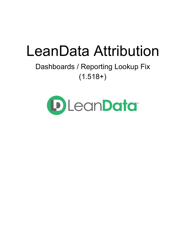# LeanData Attribution

## Dashboards / Reporting Lookup Fix  $(1.518+)$

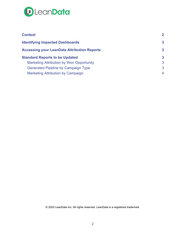

| <b>Context</b>                                     | $\mathbf{2}$ |
|----------------------------------------------------|--------------|
| <b>Identifying Impacted Dashboards</b>             | $\mathbf{3}$ |
| <b>Accessing your LeanData Attribution Reports</b> | 3            |
| <b>Standard Reports to be Updated</b>              | 3            |
| <b>Marketing Attribution by Won Opportunity</b>    | 3            |
| <b>Generated Pipeline by Campaign Type</b>         | 3            |
| <b>Marketing Attribution by Campaign</b>           | 4            |

© 2020 LeanData Inc. All rights reserved. LeanData is a registered trademark.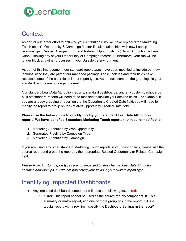

## **Context**

As part of our larger effort to optimize your Attribution runs, we have replaced the Marketing Touch object's Opportunity & Campaign Master-Detail relationships with new Lookup relationships (Related\_Campaign\_c and Related\_Opportunity\_c). Now, Attribution will run without locking any of your Opportunity or Campaign records. Furthermore, your run will no longer block any other processes in your Salesforce environment.

As part of this improvement, our standard report types have been modified to include our new lookups since they are part of our managed package.These lookups and their fields have replaced some of the older fields in our report types. As a result, some of the groupings in your standard reports are no longer present.

Our standard LeanData Attribution reports, standard dashboards, and any custom dashboards built off standard reports will need to be modified to include your desired fields. For example, if you are already grouping a report on the the Opportunity Created Date field, you will need to modify the report to group on the *Related* Opportunity Created Date field.

#### **Please use the below guide to quickly modify your standard LeanData Attribution reports. We have identified 3 standard Marketing Touch reports that require modification.**

- 1. Marketing Attribution by Won Opportunity
- 2. Generated Pipeline by Campaign Type
- 3. Marketing Attribution by Campaign

If you are using any other standard Marketing Touch reports in your dashboards, please visit the source report and group the report by the appropriate Related Opportunity or Related Campaign field.

*Please Note: Custom report types are not impacted by this change. LeanData Attribution contains new lookups, but we are populating your fields in your custom report type.*

## <span id="page-2-0"></span>Identifying Impacted Dashboards

- Any impacted dashboard component will have the following text in red:
	- $\circ$  "Error: This report cannot be used as the source for this component. If it is a summary or matrix report, add one or more groupings in the report. If it is a tabular report with a row limit, specify the Dashboard Settings in the report"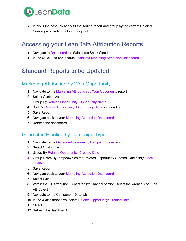

● If this is the case, please visit the source report and group by the correct Related Campaign or Related Opportunity field.

## <span id="page-3-0"></span>Accessing your LeanData Attribution Reports

- Navigate to Dashboards in Salesforce Sales Cloud
- In the QuickFind bar, search LeanData Marketing Attribution Dashboard

### <span id="page-3-1"></span>Standard Reports to be Updated

#### <span id="page-3-2"></span>Marketing Attribution by Won Opportunity

- 1. Navigate to the Marketing Attribution by Won Opportunity report
- 2. Select Customize
- 3. Group By Related Opportunity: Opportunity Name
- 4. Sort By Related Opportunity: Opportunity Name descending
- 5. Save Report
- 6. Navigate back to your Marketing Attribution Dashboard
- 7. Refresh the dashboard

#### <span id="page-3-3"></span>Generated Pipeline by Campaign Type

- 1. Navigate to the Generated Pipeline by Campaign Type report
- 2. Select Customize
- 3. Group By Related Opportunity: Created Date
- 4. Group Dates By (dropdown on the Related Opportunity Created Date field): Fiscal **Quarter**
- 5. Save Report
- 6. Navigate back to your Marketing Attribution Dashboard
- 7. Select Edit
- 8. Within the FT Attribution Generated by Channel section, select the wrench icon (Edit Attributes)
- 9. Navigate to the Component Data tab
- 10. In the X axis dropdown, select Related Opportunity: Created Date
- 11. Click OK
- 12. Refresh the dashboard